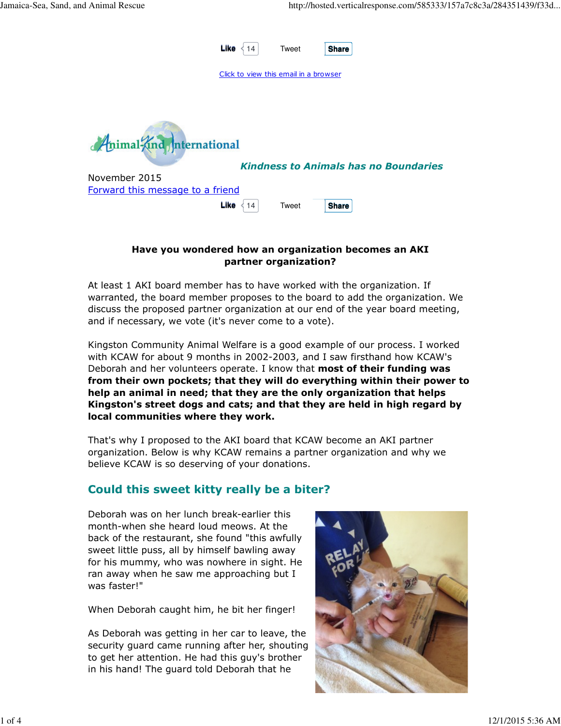

#### Have you wondered how an organization becomes an AKI partner organization?

At least 1 AKI board member has to have worked with the organization. If warranted, the board member proposes to the board to add the organization. We discuss the proposed partner organization at our end of the year board meeting, and if necessary, we vote (it's never come to a vote).

Kingston Community Animal Welfare is a good example of our process. I worked with KCAW for about 9 months in 2002-2003, and I saw firsthand how KCAW's Deborah and her volunteers operate. I know that most of their funding was from their own pockets; that they will do everything within their power to help an animal in need; that they are the only organization that helps Kingston's street dogs and cats; and that they are held in high regard by local communities where they work.

That's why I proposed to the AKI board that KCAW become an AKI partner organization. Below is why KCAW remains a partner organization and why we believe KCAW is so deserving of your donations.

## Could this sweet kitty really be a biter?

Deborah was on her lunch break-earlier this month-when she heard loud meows. At the back of the restaurant, she found "this awfully sweet little puss, all by himself bawling away for his mummy, who was nowhere in sight. He ran away when he saw me approaching but I was faster!"

When Deborah caught him, he bit her finger!

As Deborah was getting in her car to leave, the security guard came running after her, shouting to get her attention. He had this guy's brother in his hand! The guard told Deborah that he

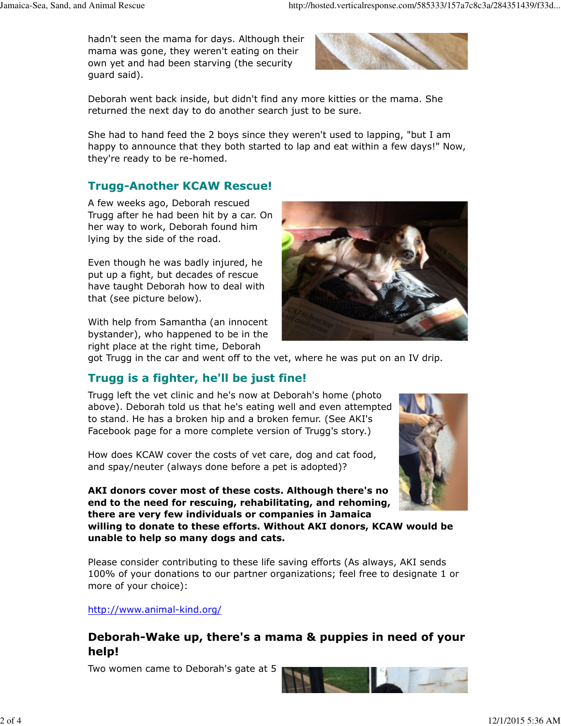hadn't seen the mama for days. Although their mama was gone, they weren't eating on their own yet and had been starving (the security guard said).



Deborah went back inside, but didn't find any more kitties or the mama. She returned the next day to do another search just to be sure.

She had to hand feed the 2 boys since they weren't used to lapping, "but I am happy to announce that they both started to lap and eat within a few days!" Now, they're ready to be re-homed.

# Trugg-Another KCAW Rescue!

A few weeks ago, Deborah rescued Trugg after he had been hit by a car. On her way to work, Deborah found him lying by the side of the road.

Even though he was badly injured, he put up a fight, but decades of rescue have taught Deborah how to deal with that (see picture below).

With help from Samantha (an innocent bystander), who happened to be in the right place at the right time, Deborah



got Trugg in the car and went off to the vet, where he was put on an IV drip.

# Trugg is a fighter, he'll be just fine!

Trugg left the vet clinic and he's now at Deborah's home (photo above). Deborah told us that he's eating well and even attempted to stand. He has a broken hip and a broken femur. (See AKI's Facebook page for a more complete version of Trugg's story.)

How does KCAW cover the costs of vet care, dog and cat food, and spay/neuter (always done before a pet is adopted)?

AKI donors cover most of these costs. Although there's no end to the need for rescuing, rehabilitating, and rehoming, there are very few individuals or companies in Jamaica

willing to donate to these efforts. Without AKI donors, KCAW would be unable to help so many dogs and cats.

Please consider contributing to these life saving efforts (As always, AKI sends 100% of your donations to our partner organizations; feel free to designate 1 or more of your choice):

http://www.animal-kind.org/

### Deborah-Wake up, there's a mama & puppies in need of your help!

Two women came to Deborah's gate at 5



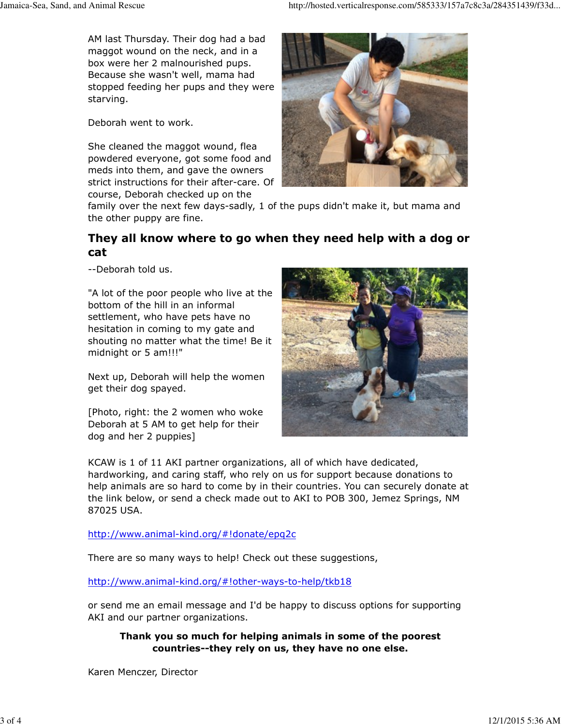AM last Thursday. Their dog had a bad maggot wound on the neck, and in a box were her 2 malnourished pups. Because she wasn't well, mama had stopped feeding her pups and they were starving.

Deborah went to work.

She cleaned the maggot wound, flea powdered everyone, got some food and meds into them, and gave the owners strict instructions for their after-care. Of course, Deborah checked up on the



family over the next few days-sadly, 1 of the pups didn't make it, but mama and the other puppy are fine.

# They all know where to go when they need help with a dog or cat

--Deborah told us.

"A lot of the poor people who live at the bottom of the hill in an informal settlement, who have pets have no hesitation in coming to my gate and shouting no matter what the time! Be it midnight or 5 am!!!"

Next up, Deborah will help the women get their dog spayed.

[Photo, right: the 2 women who woke Deborah at 5 AM to get help for their dog and her 2 puppies]



KCAW is 1 of 11 AKI partner organizations, all of which have dedicated, hardworking, and caring staff, who rely on us for support because donations to help animals are so hard to come by in their countries. You can securely donate at the link below, or send a check made out to AKI to POB 300, Jemez Springs, NM 87025 USA.

http://www.animal-kind.org/#!donate/epq2c

There are so many ways to help! Check out these suggestions,

http://www.animal-kind.org/#!other-ways-to-help/tkb18

or send me an email message and I'd be happy to discuss options for supporting AKI and our partner organizations.

Thank you so much for helping animals in some of the poorest countries--they rely on us, they have no one else.

Karen Menczer, Director